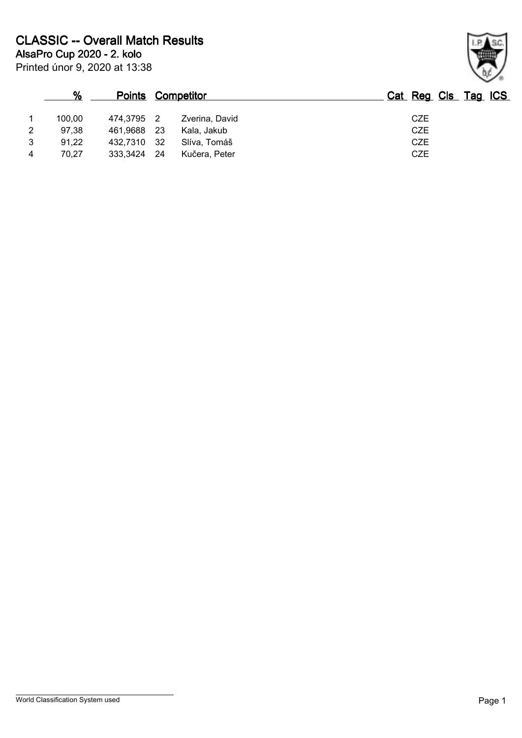|   | $\%$   | <b>Points Competitor</b> |      |                | Cat Reg Cls Tag ICS |
|---|--------|--------------------------|------|----------------|---------------------|
|   | 100.00 | 474.3795 2               |      | Zverina, David | <b>CZE</b>          |
| 2 | 97.38  | 461.9688                 | - 23 | Kala, Jakub    | <b>CZE</b>          |
| 3 | 91,22  | 432,7310 32              |      | Slíva, Tomáš   | <b>CZE</b>          |
|   | 70.27  | 333,3424                 | - 24 | Kučera, Peter  | <b>CZE</b>          |

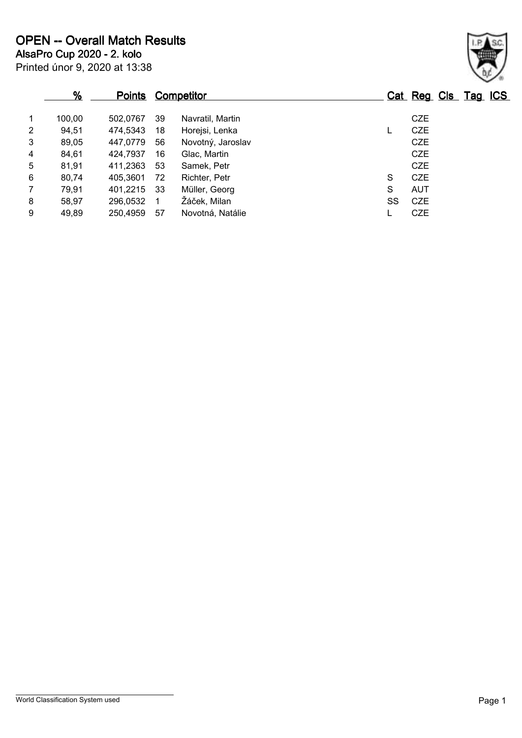|                | %      |          |     | <b>Points Competitor</b> |    | Cat Reg Cls Tag ICS |  |
|----------------|--------|----------|-----|--------------------------|----|---------------------|--|
| 1              | 100,00 | 502.0767 | 39  | Navratil, Martin         |    | <b>CZE</b>          |  |
| $\overline{2}$ | 94,51  | 474,5343 | 18  | Horejsi, Lenka           |    | <b>CZE</b>          |  |
| 3              | 89,05  | 447,0779 | 56  | Novotný, Jaroslav        |    | <b>CZE</b>          |  |
| 4              | 84,61  | 424,7937 | 16  | Glac, Martin             |    | <b>CZE</b>          |  |
| 5              | 81,91  | 411,2363 | 53  | Samek, Petr              |    | <b>CZE</b>          |  |
| 6              | 80,74  | 405,3601 | 72  | Richter, Petr            | S  | <b>CZE</b>          |  |
| $\overline{7}$ | 79,91  | 401,2215 | -33 | Müller, Georg            | S  | <b>AUT</b>          |  |
| 8              | 58,97  | 296,0532 | 1   | Žáček, Milan             | SS | CZE                 |  |
| 9              | 49,89  | 250,4959 | 57  | Novotná, Natálie         |    | <b>CZE</b>          |  |

## Printed únor 9, 2020 at 13:38

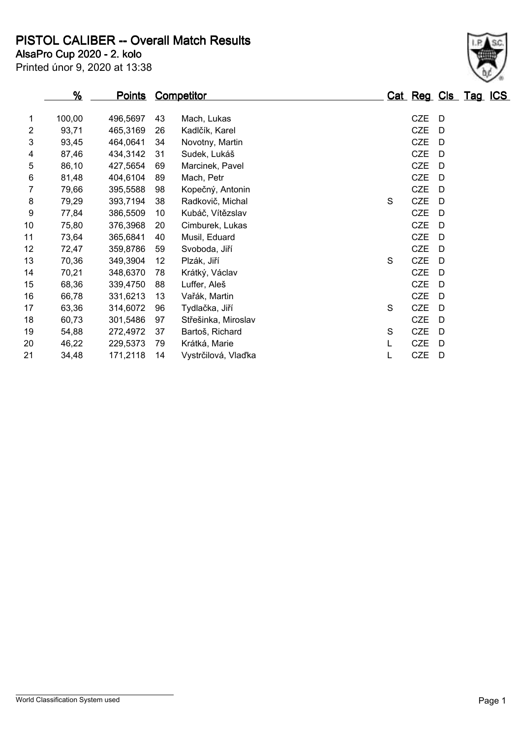**PISTOL CALIBER -- Overall Match Results**

Printed únor 9, 2020 at 13:38 **AlsaPro Cup 2020 - 2. kolo**

| <u>%</u> |          |    |                     |                   |   |            |   |                     |
|----------|----------|----|---------------------|-------------------|---|------------|---|---------------------|
| 100,00   | 496,5697 | 43 | Mach, Lukas         |                   |   | <b>CZE</b> | D |                     |
| 93,71    | 465,3169 | 26 | Kadlčík, Karel      |                   |   | <b>CZE</b> | D |                     |
| 93,45    | 464,0641 | 34 | Novotny, Martin     |                   |   | <b>CZE</b> | D |                     |
| 87,46    | 434,3142 | 31 | Sudek, Lukáš        |                   |   | <b>CZE</b> | D |                     |
| 86,10    | 427,5654 | 69 | Marcinek, Pavel     |                   |   | <b>CZE</b> | D |                     |
| 81,48    | 404,6104 | 89 | Mach, Petr          |                   |   | <b>CZE</b> | D |                     |
| 79,66    | 395,5588 | 98 | Kopečný, Antonin    |                   |   | <b>CZE</b> | D |                     |
| 79,29    | 393,7194 | 38 | Radkovič, Michal    |                   | S | <b>CZE</b> | D |                     |
| 77,84    | 386,5509 | 10 | Kubáč, Vítězslav    |                   |   | <b>CZE</b> | D |                     |
| 75,80    | 376,3968 | 20 | Cimburek, Lukas     |                   |   | <b>CZE</b> | D |                     |
| 73,64    | 365,6841 | 40 | Musil, Eduard       |                   |   | <b>CZE</b> | D |                     |
| 72,47    | 359,8786 | 59 | Svoboda, Jiří       |                   |   | <b>CZE</b> | D |                     |
| 70,36    | 349,3904 | 12 | Plzák, Jiří         |                   | S | <b>CZE</b> | D |                     |
| 70,21    | 348,6370 | 78 | Krátký, Václav      |                   |   | <b>CZE</b> | D |                     |
| 68,36    | 339,4750 | 88 | Luffer, Aleš        |                   |   | <b>CZE</b> | D |                     |
| 66,78    | 331,6213 | 13 | Vařák, Martin       |                   |   | <b>CZE</b> | D |                     |
| 63,36    | 314,6072 | 96 | Tydlačka, Jiří      |                   | S | <b>CZE</b> | D |                     |
| 60,73    | 301,5486 | 97 | Střešinka, Miroslav |                   |   | <b>CZE</b> | D |                     |
| 54,88    | 272,4972 | 37 | Bartoš, Richard     |                   | S | <b>CZE</b> | D |                     |
| 46,22    | 229,5373 | 79 | Krátká, Marie       |                   | L | <b>CZE</b> | D |                     |
| 34,48    | 171,2118 | 14 | Vystrčilová, Vlaďka |                   | L | <b>CZE</b> | D |                     |
|          |          |    | <u>Points</u>       | <b>Competitor</b> |   |            |   | Cat Reg Cls Tag ICS |

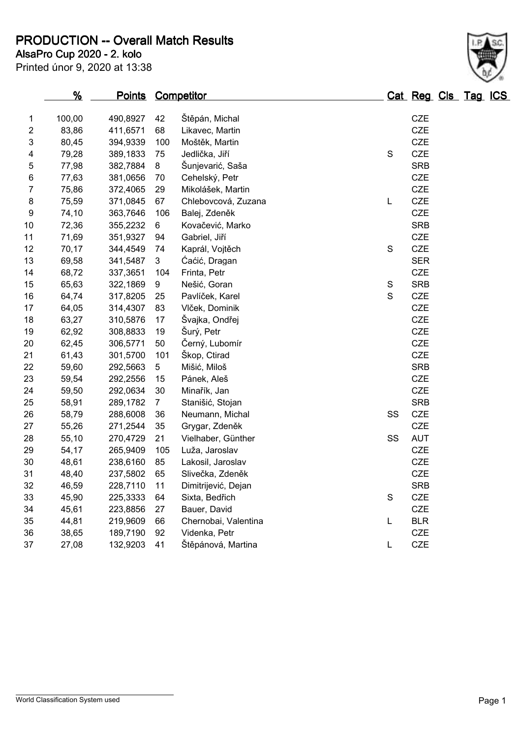**PRODUCTION -- Overall Match Results**

Printed únor 9, 2020 at 13:38 **AlsaPro Cup 2020 - 2. kolo**

|                         | %      | <u>Points</u> |                | <b>Competitor</b>    |               | Cat Reg Cls Tag ICS |  |  |
|-------------------------|--------|---------------|----------------|----------------------|---------------|---------------------|--|--|
| 1                       | 100,00 | 490,8927      | 42             | Štěpán, Michal       |               | <b>CZE</b>          |  |  |
| $\boldsymbol{2}$        | 83,86  | 411,6571      | 68             | Likavec, Martin      |               | CZE                 |  |  |
| 3                       | 80,45  | 394,9339      | 100            | Moštěk, Martin       |               | <b>CZE</b>          |  |  |
| $\overline{\mathbf{4}}$ | 79,28  | 389,1833      | 75             | Jedlička, Jiří       | S             | <b>CZE</b>          |  |  |
| 5                       | 77,98  | 382,7884      | 8              | Šunjevarić, Saša     |               | <b>SRB</b>          |  |  |
| 6                       | 77,63  | 381,0656      | 70             | Cehelský, Petr       |               | CZE                 |  |  |
| 7                       | 75,86  | 372,4065      | 29             | Mikolášek, Martin    |               | <b>CZE</b>          |  |  |
| 8                       | 75,59  | 371,0845      | 67             | Chlebovcová, Zuzana  | L             | <b>CZE</b>          |  |  |
| 9                       | 74,10  | 363,7646      | 106            | Balej, Zdeněk        |               | <b>CZE</b>          |  |  |
| 10                      | 72,36  | 355,2232      | 6              | Kovačević, Marko     |               | <b>SRB</b>          |  |  |
| 11                      | 71,69  | 351,9327      | 94             | Gabriel, Jiří        |               | <b>CZE</b>          |  |  |
| 12                      | 70,17  | 344,4549      | 74             | Kaprál, Vojtěch      | S             | CZE                 |  |  |
| 13                      | 69,58  | 341,5487      | 3              | Ćaćić, Dragan        |               | <b>SER</b>          |  |  |
| 14                      | 68,72  | 337,3651      | 104            | Frinta, Petr         |               | <b>CZE</b>          |  |  |
| 15                      | 65,63  | 322,1869      | 9              | Nešić, Goran         | ${\mathbb S}$ | <b>SRB</b>          |  |  |
| 16                      | 64,74  | 317,8205      | 25             | Pavlíček, Karel      | $\mathbf S$   | CZE                 |  |  |
| 17                      | 64,05  | 314,4307      | 83             | Vlček, Dominik       |               | <b>CZE</b>          |  |  |
| 18                      | 63,27  | 310,5876      | 17             | Švajka, Ondřej       |               | CZE                 |  |  |
| 19                      | 62,92  | 308,8833      | 19             | Šurý, Petr           |               | CZE                 |  |  |
| 20                      | 62,45  | 306,5771      | 50             | Černý, Lubomír       |               | CZE                 |  |  |
| 21                      | 61,43  | 301,5700      | 101            | Škop, Ctirad         |               | <b>CZE</b>          |  |  |
| 22                      | 59,60  | 292,5663      | 5              | Mišić, Miloš         |               | <b>SRB</b>          |  |  |
| 23                      | 59,54  | 292,2556      | 15             | Pánek, Aleš          |               | <b>CZE</b>          |  |  |
| 24                      | 59,50  | 292,0634      | 30             | Minařík, Jan         |               | <b>CZE</b>          |  |  |
| 25                      | 58,91  | 289,1782      | $\overline{7}$ | Stanišić, Stojan     |               | <b>SRB</b>          |  |  |
| 26                      | 58,79  | 288,6008      | 36             | Neumann, Michal      | SS            | CZE                 |  |  |
| 27                      | 55,26  | 271,2544      | 35             | Grygar, Zdeněk       |               | <b>CZE</b>          |  |  |
| 28                      | 55,10  | 270,4729      | 21             | Vielhaber, Günther   | SS            | <b>AUT</b>          |  |  |
| 29                      | 54,17  | 265,9409      | 105            | Luža, Jaroslav       |               | <b>CZE</b>          |  |  |
| 30                      | 48,61  | 238,6160      | 85             | Lakosil, Jaroslav    |               | <b>CZE</b>          |  |  |
| 31                      | 48,40  | 237,5802      | 65             | Slivečka, Zdeněk     |               | <b>CZE</b>          |  |  |
| 32                      | 46,59  | 228,7110      | 11             | Dimitrijević, Dejan  |               | <b>SRB</b>          |  |  |
| 33                      | 45,90  | 225,3333      | 64             | Sixta, Bedřich       | S             | <b>CZE</b>          |  |  |
| 34                      | 45,61  | 223,8856      | 27             | Bauer, David         |               | <b>CZE</b>          |  |  |
| 35                      | 44,81  | 219,9609      | 66             | Chernobai, Valentina | L             | <b>BLR</b>          |  |  |
| 36                      | 38,65  | 189,7190      | 92             | Videnka, Petr        |               | CZE                 |  |  |
| 37                      | 27,08  | 132,9203      | 41             | Štěpánová, Martina   | L             | CZE                 |  |  |
|                         |        |               |                |                      |               |                     |  |  |

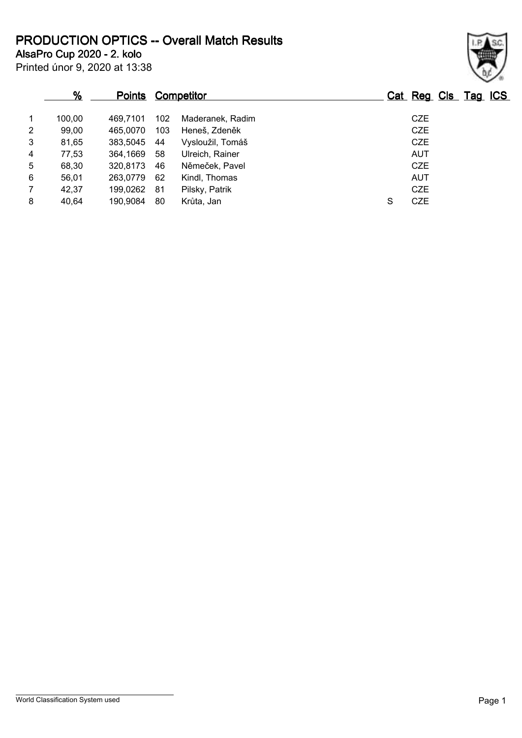**PRODUCTION OPTICS -- Overall Match Results**

**AlsaPro Cup 2020 - 2. kolo**

Printed únor 9, 2020 at 13:38

## **% Points Competitor Cat Reg Cls Tag ICS** 1 100,00 469,7101 102 Maderanek, Radim CZE 2 99,00 465,0070 103 Heneš, Zdeněk CZE 3 81,65 383,5045 44 Vysloužil, Tomáš CZE 4 77,53 364,1669 58 Ulreich, Rainer AUT 5 68,30 320,8173 46 Němeček, Pavel CZE 6 56,01 263,0779 62 Kindl, Thomas AUT 7 42,37 199,0262 81 Pilsky, Patrik CZE 8 40,64 190,9084 80 Krůta, Jan S CZE